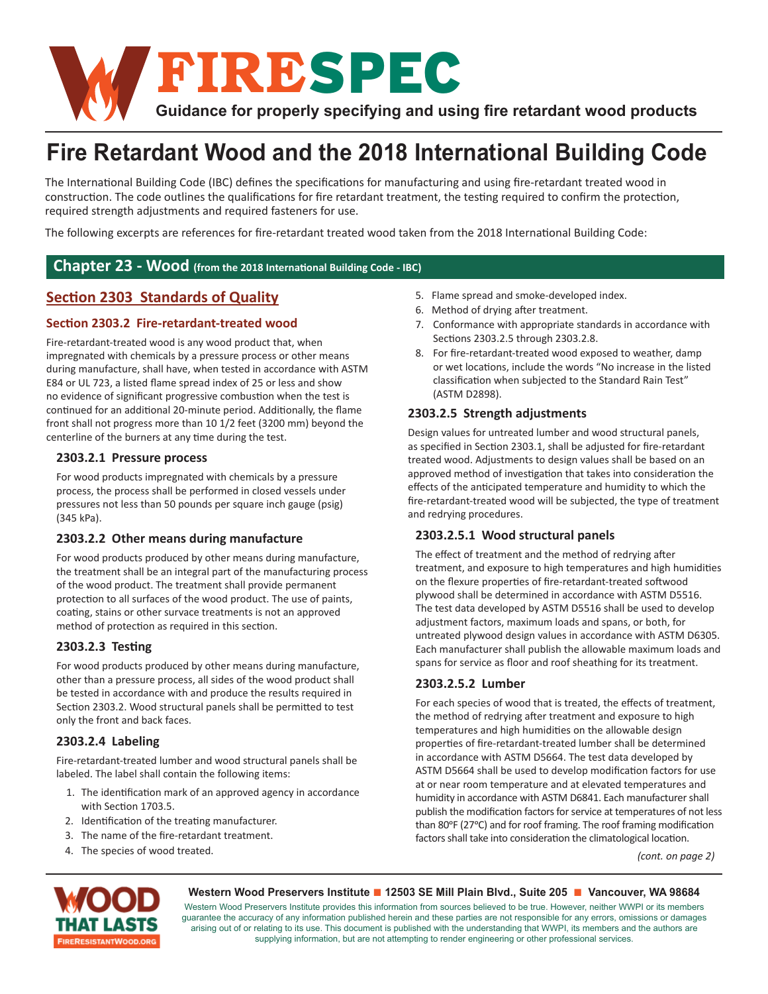

# **Fire Retardant Wood and the 2018 International Building Code**

The International Building Code (IBC) defines the specifications for manufacturing and using fire-retardant treated wood in construction. The code outlines the qualifications for fire retardant treatment, the testing required to confirm the protection, required strength adjustments and required fasteners for use.

The following excerpts are references for fire-retardant treated wood taken from the 2018 International Building Code:

### Chapter 23 - Wood (from the 2018 International Building Code - IBC)

## **Section 2303 Standards of Quality**

#### **Section 2303.2 Fire-retardant-treated wood**

Fire-retardant-treated wood is any wood product that, when impregnated with chemicals by a pressure process or other means during manufacture, shall have, when tested in accordance with ASTM E84 or UL 723, a listed flame spread index of 25 or less and show no evidence of significant progressive combustion when the test is continued for an additional 20-minute period. Additionally, the flame front shall not progress more than 10 1/2 feet (3200 mm) beyond the centerline of the burners at any time during the test.

#### **2303.2.1 Pressure process**

For wood products impregnated with chemicals by a pressure process, the process shall be performed in closed vessels under pressures not less than 50 pounds per square inch gauge (psig) (345 kPa).

#### **2303.2.2 Other means during manufacture**

For wood products produced by other means during manufacture, the treatment shall be an integral part of the manufacturing process of the wood product. The treatment shall provide permanent protection to all surfaces of the wood product. The use of paints, coating, stains or other survace treatments is not an approved method of protection as required in this section.

#### **2303.2.3 TesƟ ng**

For wood products produced by other means during manufacture, other than a pressure process, all sides of the wood product shall be tested in accordance with and produce the results required in Section 2303.2. Wood structural panels shall be permitted to test only the front and back faces.

#### **2303.2.4 Labeling**

Fire-retardant-treated lumber and wood structural panels shall be labeled. The label shall contain the following items:

- 1. The identification mark of an approved agency in accordance with Section 1703.5.
- 2. Identification of the treating manufacturer.
- 3. The name of the fire-retardant treatment.
- 4. The species of wood treated.
- 5. Flame spread and smoke-developed index.
- 6. Method of drying after treatment.
- 7. Conformance with appropriate standards in accordance with Sections 2303.2.5 through 2303.2.8.
- 8. For fire-retardant-treated wood exposed to weather, damp or wet locations, include the words "No increase in the listed classification when subjected to the Standard Rain Test" (ASTM D2898).

#### **2303.2.5 Strength adjustments**

Design values for untreated lumber and wood structural panels, as specified in Section 2303.1, shall be adjusted for fire-retardant treated wood. Adjustments to design values shall be based on an approved method of investigation that takes into consideration the effects of the anticipated temperature and humidity to which the fire-retardant-treated wood will be subjected, the type of treatment and redrying procedures.

#### **2303.2.5.1 Wood structural panels**

The effect of treatment and the method of redrying after treatment, and exposure to high temperatures and high humidities on the flexure properties of fire-retardant-treated softwood plywood shall be determined in accordance with ASTM D5516. The test data developed by ASTM D5516 shall be used to develop adjustment factors, maximum loads and spans, or both, for untreated plywood design values in accordance with ASTM D6305. Each manufacturer shall publish the allowable maximum loads and spans for service as floor and roof sheathing for its treatment.

#### **2303.2.5.2 Lumber**

For each species of wood that is treated, the effects of treatment, the method of redrying after treatment and exposure to high temperatures and high humidities on the allowable design properties of fire-retardant-treated lumber shall be determined in accordance with ASTM D5664. The test data developed by ASTM D5664 shall be used to develop modification factors for use at or near room temperature and at elevated temperatures and humidity in accordance with ASTM D6841. Each manufacturer shall publish the modification factors for service at temperatures of not less than 80°F (27°C) and for roof framing. The roof framing modification factors shall take into consideration the climatological location.

*(cont. on page 2)*



#### **Western Wood Preservers Institute ■ 12503 SE Mill Plain Blvd., Suite 205 ■ Vancouver, WA 98684**

Western Wood Preservers Institute provides this information from sources believed to be true. However, neither WWPI or its members guarantee the accuracy of any information published herein and these parties are not responsible for any errors, omissions or damages arising out of or relating to its use. This document is published with the understanding that WWPI, its members and the authors are supplying information, but are not attempting to render engineering or other professional services.